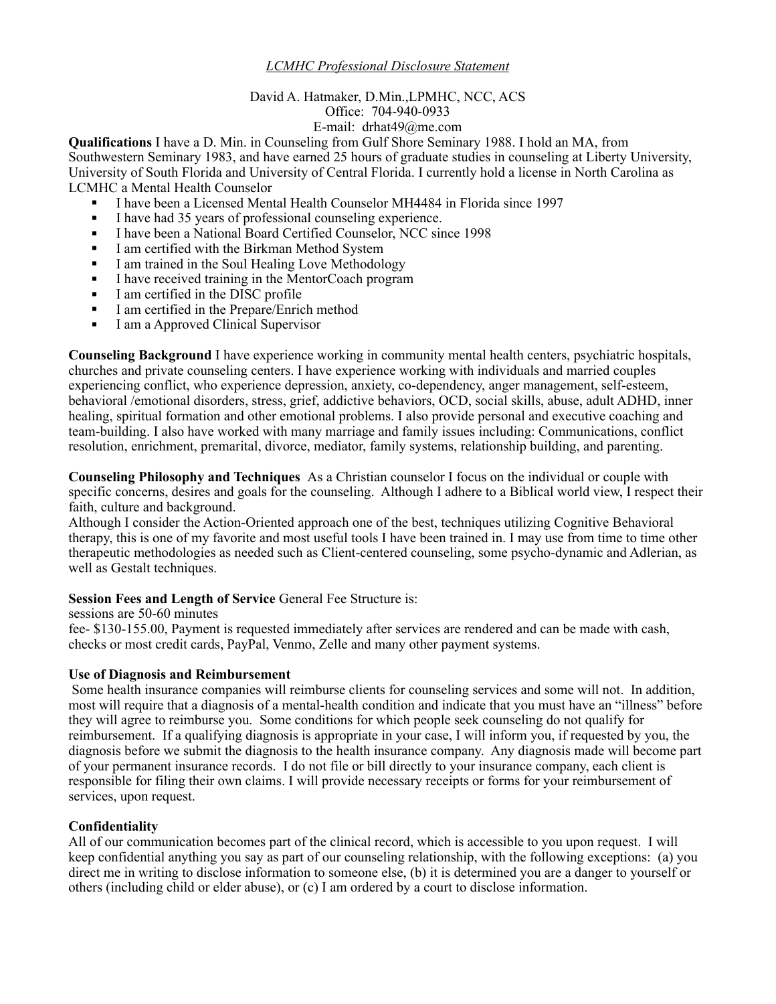# *LCMHC Professional Disclosure Statement*

#### David A. Hatmaker, D.Min.,LPMHC, NCC, ACS Office: 704-940-0933 E-mail: drhat49@me.com

**Qualifications** I have a D. Min. in Counseling from Gulf Shore Seminary 1988. I hold an MA, from Southwestern Seminary 1983, and have earned 25 hours of graduate studies in counseling at Liberty University, University of South Florida and University of Central Florida. I currently hold a license in North Carolina as LCMHC a Mental Health Counselor

- ! I have been a Licensed Mental Health Counselor MH4484 in Florida since 1997
- ! I have had 35 years of professional counseling experience.
- ! I have been a National Board Certified Counselor, NCC since 1998
- ! I am certified with the Birkman Method System
- ! I am trained in the Soul Healing Love Methodology
- ! I have received training in the MentorCoach program
- ! I am certified in the DISC profile
- I am certified in the Prepare/Enrich method
- I am a Approved Clinical Supervisor

**Counseling Background** I have experience working in community mental health centers, psychiatric hospitals, churches and private counseling centers. I have experience working with individuals and married couples experiencing conflict, who experience depression, anxiety, co-dependency, anger management, self-esteem, behavioral /emotional disorders, stress, grief, addictive behaviors, OCD, social skills, abuse, adult ADHD, inner healing, spiritual formation and other emotional problems. I also provide personal and executive coaching and team-building. I also have worked with many marriage and family issues including: Communications, conflict resolution, enrichment, premarital, divorce, mediator, family systems, relationship building, and parenting.

**Counseling Philosophy and Techniques** As a Christian counselor I focus on the individual or couple with specific concerns, desires and goals for the counseling. Although I adhere to a Biblical world view, I respect their faith, culture and background.

Although I consider the Action-Oriented approach one of the best, techniques utilizing Cognitive Behavioral therapy, this is one of my favorite and most useful tools I have been trained in. I may use from time to time other therapeutic methodologies as needed such as Client-centered counseling, some psycho-dynamic and Adlerian, as well as Gestalt techniques.

## **Session Fees and Length of Service General Fee Structure is:**

sessions are 50-60 minutes

fee- \$130-155.00, Payment is requested immediately after services are rendered and can be made with cash, checks or most credit cards, PayPal, Venmo, Zelle and many other payment systems.

## **Use of Diagnosis and Reimbursement**

Some health insurance companies will reimburse clients for counseling services and some will not. In addition, most will require that a diagnosis of a mental-health condition and indicate that you must have an "illness" before they will agree to reimburse you. Some conditions for which people seek counseling do not qualify for reimbursement. If a qualifying diagnosis is appropriate in your case, I will inform you, if requested by you, the diagnosis before we submit the diagnosis to the health insurance company. Any diagnosis made will become part of your permanent insurance records. I do not file or bill directly to your insurance company, each client is responsible for filing their own claims. I will provide necessary receipts or forms for your reimbursement of services, upon request.

## **Confidentiality**

All of our communication becomes part of the clinical record, which is accessible to you upon request. I will keep confidential anything you say as part of our counseling relationship, with the following exceptions: (a) you direct me in writing to disclose information to someone else, (b) it is determined you are a danger to yourself or others (including child or elder abuse), or (c) I am ordered by a court to disclose information.